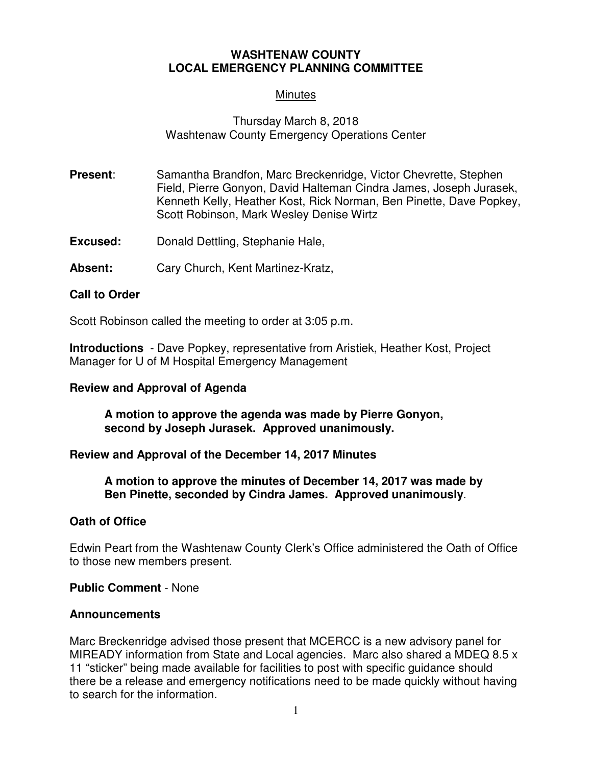## **WASHTENAW COUNTY LOCAL EMERGENCY PLANNING COMMITTEE**

# **Minutes**

# Thursday March 8, 2018 Washtenaw County Emergency Operations Center

- **Present:** Samantha Brandfon, Marc Breckenridge, Victor Chevrette, Stephen Field, Pierre Gonyon, David Halteman Cindra James, Joseph Jurasek, Kenneth Kelly, Heather Kost, Rick Norman, Ben Pinette, Dave Popkey, Scott Robinson, Mark Wesley Denise Wirtz
- **Excused:** Donald Dettling, Stephanie Hale,
- **Absent:** Cary Church, Kent Martinez-Kratz,

### **Call to Order**

Scott Robinson called the meeting to order at 3:05 p.m.

**Introductions** - Dave Popkey, representative from Aristiek, Heather Kost, Project Manager for U of M Hospital Emergency Management

#### **Review and Approval of Agenda**

**A motion to approve the agenda was made by Pierre Gonyon, second by Joseph Jurasek. Approved unanimously.** 

#### **Review and Approval of the December 14, 2017 Minutes**

**A motion to approve the minutes of December 14, 2017 was made by Ben Pinette, seconded by Cindra James. Approved unanimously**.

#### **Oath of Office**

Edwin Peart from the Washtenaw County Clerk's Office administered the Oath of Office to those new members present.

**Public Comment** - None

#### **Announcements**

Marc Breckenridge advised those present that MCERCC is a new advisory panel for MIREADY information from State and Local agencies. Marc also shared a MDEQ 8.5 x 11 "sticker" being made available for facilities to post with specific guidance should there be a release and emergency notifications need to be made quickly without having to search for the information.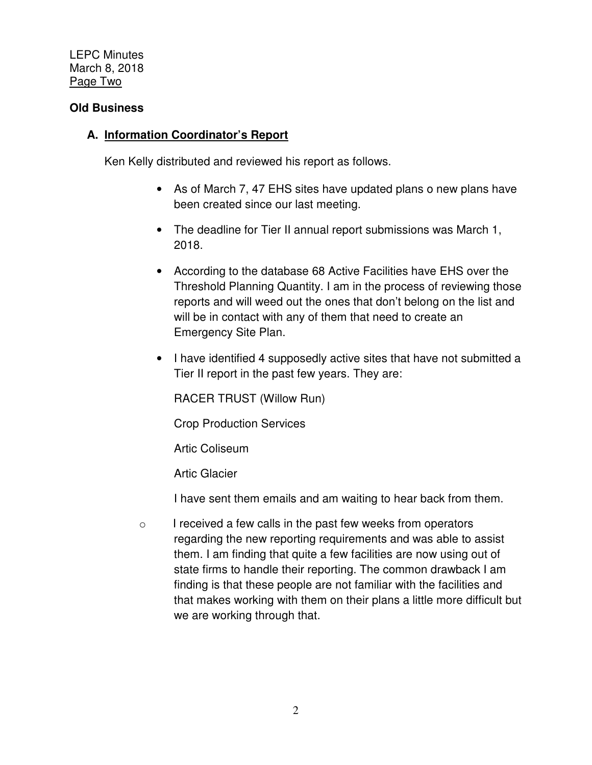LEPC Minutes March 8, 2018 Page Two

## **Old Business**

# **A. Information Coordinator's Report**

Ken Kelly distributed and reviewed his report as follows.

- As of March 7, 47 EHS sites have updated plans o new plans have been created since our last meeting.
- The deadline for Tier II annual report submissions was March 1, 2018.
- According to the database 68 Active Facilities have EHS over the Threshold Planning Quantity. I am in the process of reviewing those reports and will weed out the ones that don't belong on the list and will be in contact with any of them that need to create an Emergency Site Plan.
- I have identified 4 supposedly active sites that have not submitted a Tier II report in the past few years. They are:

RACER TRUST (Willow Run)

Crop Production Services

Artic Coliseum

Artic Glacier

I have sent them emails and am waiting to hear back from them.

 $\circ$  I received a few calls in the past few weeks from operators regarding the new reporting requirements and was able to assist them. I am finding that quite a few facilities are now using out of state firms to handle their reporting. The common drawback I am finding is that these people are not familiar with the facilities and that makes working with them on their plans a little more difficult but we are working through that.